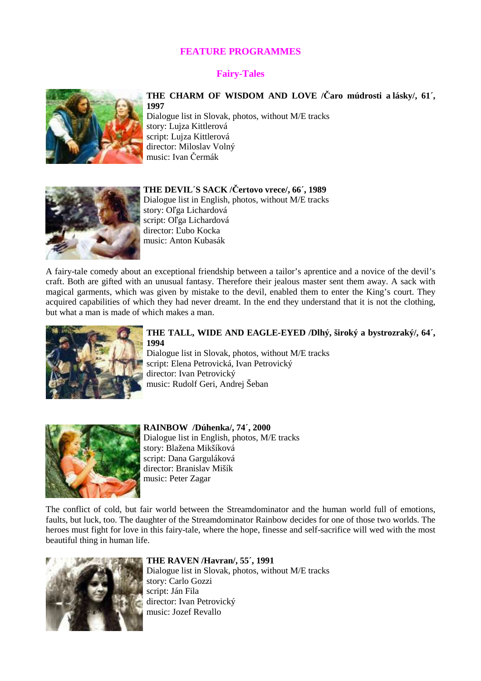# **FEATURE PROGRAMMES**

# **Fairy-Tales**



# **THE CHARM OF WISDOM AND LOVE /**Č**aro múdrosti a lásky/, 61´, 1997**

Dialogue list in Slovak, photos, without M/E tracks story: Lujza Kittlerová script: Lujza Kittlerová director: Miloslav Volný music: Ivan Čermák



**THE DEVIL´S SACK /**Č**ertovo vrece/, 66´, 1989**  Dialogue list in English, photos, without M/E tracks story: Oľga Lichardová script: Oľga Lichardová director: Ľubo Kocka music: Anton Kubasák

A fairy-tale comedy about an exceptional friendship between a tailor's aprentice and a novice of the devil's craft. Both are gifted with an unusual fantasy. Therefore their jealous master sent them away. A sack with magical garments, which was given by mistake to the devil, enabled them to enter the King's court. They acquired capabilities of which they had never dreamt. In the end they understand that it is not the clothing, but what a man is made of which makes a man.



# **THE TALL, WIDE AND EAGLE-EYED /Dlhý, široký a bystrozraký/, 64´, 1994**

Dialogue list in Slovak, photos, without M/E tracks script: Elena Petrovická, Ivan Petrovický director: Ivan Petrovický music: Rudolf Geri, Andrej Šeban



### **RAINBOW /Dúhenka/, 74´, 2000** Dialogue list in English, photos, M/E tracks story: Blažena Mikšíková script: Dana Garguláková director: Branislav Mišík music: Peter Zagar

The conflict of cold, but fair world between the Streamdominator and the human world full of emotions, faults, but luck, too. The daughter of the Streamdominator Rainbow decides for one of those two worlds. The heroes must fight for love in this fairy-tale, where the hope, finesse and self-sacrifice will wed with the most beautiful thing in human life.



#### **THE RAVEN /Havran/, 55´, 1991**

Dialogue list in Slovak, photos, without M/E tracks story: Carlo Gozzi script: Ján Fila director: Ivan Petrovický music: Jozef Revallo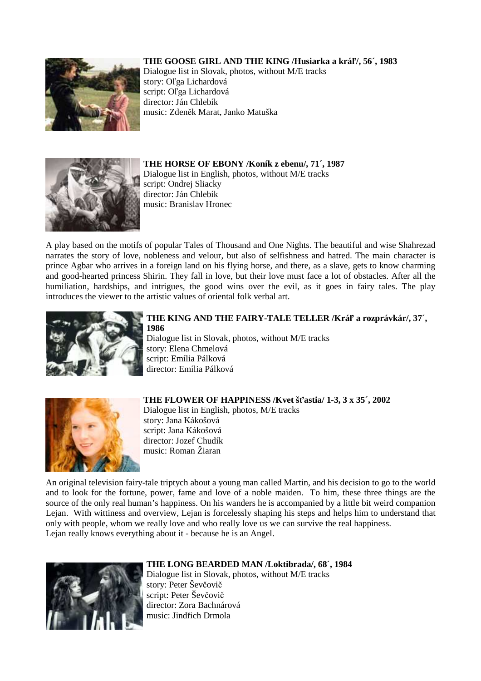# **THE GOOSE GIRL AND THE KING /Husiarka a krá**ľ**/, 56´, 1983**



Dialogue list in Slovak, photos, without M/E tracks story: Oľga Lichardová script: Oľga Lichardová director: Ján Chlebík music: Zdeněk Marat, Janko Matuška



**THE HORSE OF EBONY /Koník z ebenu/, 71´, 1987** Dialogue list in English, photos, without M/E tracks script: Ondrej Sliacky director: Ján Chlebík music: Branislav Hronec

A play based on the motifs of popular Tales of Thousand and One Nights. The beautiful and wise Shahrezad narrates the story of love, nobleness and velour, but also of selfishness and hatred. The main character is prince Agbar who arrives in a foreign land on his flying horse, and there, as a slave, gets to know charming and good-hearted princess Shirin. They fall in love, but their love must face a lot of obstacles. After all the humiliation, hardships, and intrigues, the good wins over the evil, as it goes in fairy tales. The play introduces the viewer to the artistic values of oriental folk verbal art.



### **THE KING AND THE FAIRY-TALE TELLER /Krá**ľ **a rozprávkár/, 37´, 1986**  Dialogue list in Slovak, photos, without M/E tracks

story: Elena Chmelová script: Emília Pálková director: Emília Pálková



**THE FLOWER OF HAPPINESS /Kvet š**ť**astia/ 1-3, 3 x 35´, 2002** Dialogue list in English, photos, M/E tracks story: Jana Kákošová script: Jana Kákošová director: Jozef Chudík music: Roman Žiaran

An original television fairy-tale triptych about a young man called Martin, and his decision to go to the world and to look for the fortune, power, fame and love of a noble maiden. To him, these three things are the source of the only real human's happiness. On his wanders he is accompanied by a little bit weird companion Lejan. With wittiness and overview, Lejan is forcelessly shaping his steps and helps him to understand that only with people, whom we really love and who really love us we can survive the real happiness. Lejan really knows everything about it - because he is an Angel.



# **THE LONG BEARDED MAN /Loktibrada/, 68´, 1984**

Dialogue list in Slovak, photos, without M/E tracks story: Peter Ševčovič script: Peter Ševčovič director: Zora Bachnárová music: Jindřich Drmola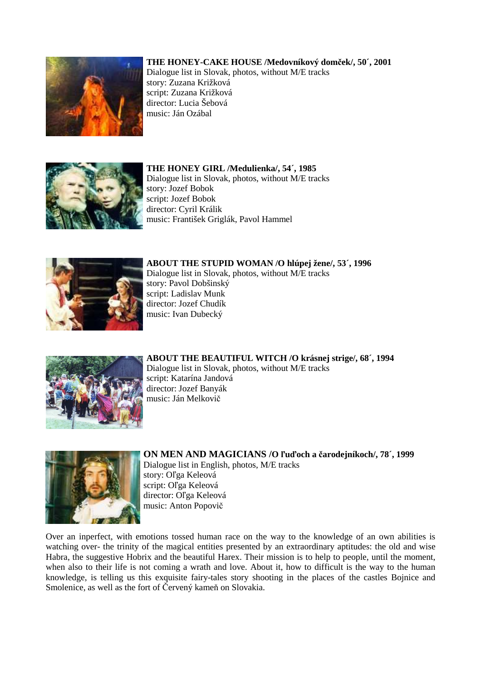# **THE HONEY-CAKE HOUSE /Medovníkový dom**č**ek/, 50´, 2001**



Dialogue list in Slovak, photos, without M/E tracks story: Zuzana Križková script: Zuzana Križková director: Lucia Šebová music: Ján Ozábal



### **THE HONEY GIRL /Medulienka/, 54´, 1985**

Dialogue list in Slovak, photos, without M/E tracks story: Jozef Bobok script: Jozef Bobok director: Cyril Králik music: František Griglák, Pavol Hammel



**ABOUT THE STUPID WOMAN /O hlúpej žene/, 53´, 1996**  Dialogue list in Slovak, photos, without M/E tracks story: Pavol Dobšinský script: Ladislav Munk director: Jozef Chudík music: Ivan Dubecký



**ABOUT THE BEAUTIFUL WITCH /O krásnej strige/, 68´, 1994**  Dialogue list in Slovak, photos, without M/E tracks script: Katarína Jandová director: Jozef Banyák music: Ján Melkovič



**ON MEN AND MAGICIANS /O** ľ**u**ď**och a** č**arodejníkoch/, 78´, 1999** Dialogue list in English, photos, M/E tracks story: Oľga Keleová script: Oľga Keleová director: Oľga Keleová music: Anton Popovič

Over an inperfect, with emotions tossed human race on the way to the knowledge of an own abilities is watching over- the trinity of the magical entities presented by an extraordinary aptitudes: the old and wise Habra, the suggestive Hobrix and the beautiful Harex. Their mission is to help to people, until the moment, when also to their life is not coming a wrath and love. About it, how to difficult is the way to the human knowledge, is telling us this exquisite fairy-tales story shooting in the places of the castles Bojnice and Smolenice, as well as the fort of Červený kameň on Slovakia.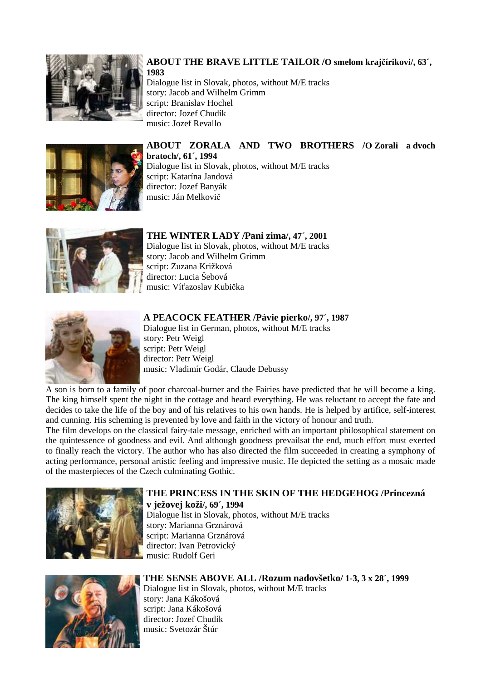

## **ABOUT THE BRAVE LITTLE TAILOR /O smelom kraj**č**írikovi/, 63´, 1983**

Dialogue list in Slovak, photos, without M/E tracks story: Jacob and Wilhelm Grimm script: Branislav Hochel director: Jozef Chudík music: Jozef Revallo



**ABOUT ZORALA AND TWO BROTHERS /O Zorali a dvoch bratoch/, 61´, 1994** Dialogue list in Slovak, photos, without M/E tracks script: Katarína Jandová director: Jozef Banyák music: Ján Melkovič



# **THE WINTER LADY /Pani zima/, 47´, 2001**

Dialogue list in Slovak, photos, without M/E tracks story: Jacob and Wilhelm Grimm script: Zuzana Križková director: Lucia Šebová music: Víťazoslav Kubička



# **A PEACOCK FEATHER /Pávie pierko/, 97´, 1987**

Dialogue list in German, photos, without M/E tracks story: Petr Weigl script: Petr Weigl director: Petr Weigl music: Vladimír Godár, Claude Debussy

A son is born to a family of poor charcoal-burner and the Fairies have predicted that he will become a king. The king himself spent the night in the cottage and heard everything. He was reluctant to accept the fate and decides to take the life of the boy and of his relatives to his own hands. He is helped by artifice, self-interest and cunning. His scheming is prevented by love and faith in the victory of honour and truth.

The film develops on the classical fairy-tale message, enriched with an important philosophical statement on the quintessence of goodness and evil. And although goodness prevailsat the end, much effort must exerted to finally reach the victory. The author who has also directed the film succeeded in creating a symphony of acting performance, personal artistic feeling and impressive music. He depicted the setting as a mosaic made of the masterpieces of the Czech culminating Gothic.



# **THE PRINCESS IN THE SKIN OF THE HEDGEHOG /Princezná v ježovej koži/, 69´, 1994** Dialogue list in Slovak, photos, without M/E tracks story: Marianna Grznárová

script: Marianna Grznárová director: Ivan Petrovický music: Rudolf Geri



# **THE SENSE ABOVE ALL /Rozum nadovšetko/ 1-3, 3 x 28´, 1999**

Dialogue list in Slovak, photos, without M/E tracks story: Jana Kákošová script: Jana Kákošová director: Jozef Chudík music: Svetozár Štúr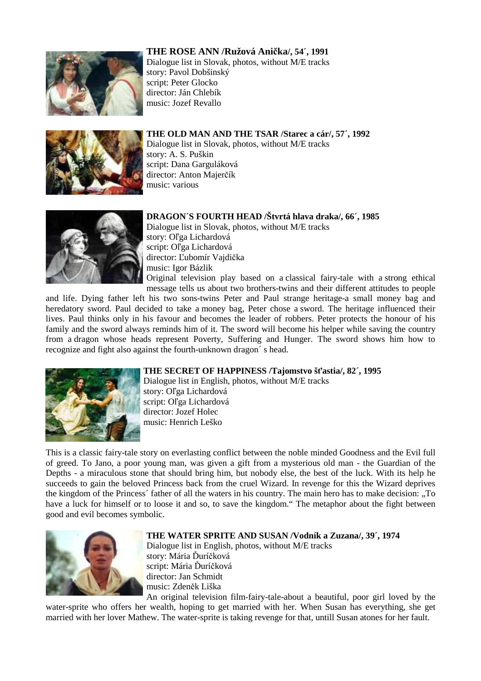## **THE ROSE ANN /Ružová Ani**č**ka/, 54´, 1991**



Dialogue list in Slovak, photos, without M/E tracks story: Pavol Dobšinský script: Peter Glocko director: Ján Chlebík music: Jozef Revallo



**THE OLD MAN AND THE TSAR /Starec a cár/, 57´, 1992** Dialogue list in Slovak, photos, without M/E tracks story: A. S. Puškin script: Dana Garguláková director: Anton Majerčík music: various



**DRAGON´S FOURTH HEAD /Štvrtá hlava draka/, 66´, 1985** Dialogue list in Slovak, photos, without M/E tracks story: Oľga Lichardová script: Oľga Lichardová director: Ľubomír Vajdička music: Igor Bázlik Original television play based on a classical fairy-tale with a strong ethical

message tells us about two brothers-twins and their different attitudes to people

and life. Dying father left his two sons-twins Peter and Paul strange heritage-a small money bag and heredatory sword. Paul decided to take a money bag, Peter chose a sword. The heritage influenced their lives. Paul thinks only in his favour and becomes the leader of robbers. Peter protects the honour of his family and the sword always reminds him of it. The sword will become his helper while saving the country from a dragon whose heads represent Poverty, Suffering and Hunger. The sword shows him how to recognize and fight also against the fourth-unknown dragon´ s head.



#### **THE SECRET OF HAPPINESS /Tajomstvo š**ť**astia/, 82´, 1995**

Dialogue list in English, photos, without M/E tracks story: Oľga Lichardová script: Oľga Lichardová director: Jozef Holec music: Henrich Leško

This is a classic fairy-tale story on everlasting conflict between the noble minded Goodness and the Evil full of greed. To Jano, a poor young man, was given a gift from a mysterious old man - the Guardian of the Depths - a miraculous stone that should bring him, but nobody else, the best of the luck. With its help he succeeds to gain the beloved Princess back from the cruel Wizard. In revenge for this the Wizard deprives the kingdom of the Princess´ father of all the waters in his country. The main hero has to make decision: "To have a luck for himself or to loose it and so, to save the kingdom." The metaphor about the fight between good and evil becomes symbolic.



#### **THE WATER SPRITE AND SUSAN /Vodník a Zuzana/, 39´, 1974**

Dialogue list in English, photos, without M/E tracks story: Mária Ďuríčková script: Mária Ďuríčková director: Jan Schmidt music: Zdeněk Liška

An original television film-fairy-tale-about a beautiful, poor girl loved by the water-sprite who offers her wealth, hoping to get married with her. When Susan has everything, she get married with her lover Mathew. The water-sprite is taking revenge for that, untill Susan atones for her fault.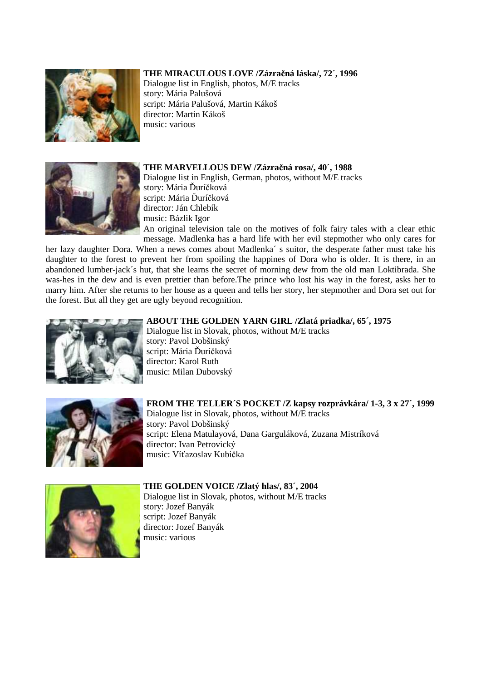### **THE MIRACULOUS LOVE /Zázra**č**ná láska/, 72´, 1996**



Dialogue list in English, photos, M/E tracks story: Mária Palušová script: Mária Palušová, Martin Kákoš director: Martin Kákoš music: various



**THE MARVELLOUS DEW /Zázra**č**ná rosa/, 40´, 1988** Dialogue list in English, German, photos, without M/E tracks story: Mária Ďuríčková script: Mária Ďuríčková director: Ján Chlebík music: Bázlik Igor

An original television tale on the motives of folk fairy tales with a clear ethic message. Madlenka has a hard life with her evil stepmother who only cares for

her lazy daughter Dora. When a news comes about Madlenka´ s suitor, the desperate father must take his daughter to the forest to prevent her from spoiling the happines of Dora who is older. It is there, in an abandoned lumber-jack´s hut, that she learns the secret of morning dew from the old man Loktibrada. She was-hes in the dew and is even prettier than before.The prince who lost his way in the forest, asks her to marry him. After she returns to her house as a queen and tells her story, her stepmother and Dora set out for the forest. But all they get are ugly beyond recognition.



#### **ABOUT THE GOLDEN YARN GIRL /Zlatá priadka/, 65´, 1975**

Dialogue list in Slovak, photos, without M/E tracks story: Pavol Dobšinský script: Mária Ďuríčková director: Karol Ruth music: Milan Dubovský



#### **FROM THE TELLER´S POCKET /Z kapsy rozprávkára/ 1-3, 3 x 27´, 1999** Dialogue list in Slovak, photos, without M/E tracks story: Pavol Dobšinský

script: Elena Matulayová, Dana Garguláková, Zuzana Mistríková director: Ivan Petrovický music: Víťazoslav Kubička



# **THE GOLDEN VOICE /Zlatý hlas/, 83´, 2004**

Dialogue list in Slovak, photos, without M/E tracks story: Jozef Banyák script: Jozef Banyák director: Jozef Banyák music: various